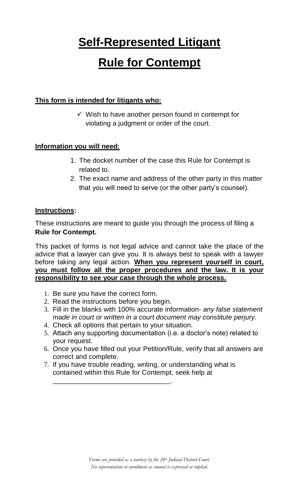# **Self-Represented Litigant**

## **Rule for Contempt**

#### **This form is intended for litigants who:**

 $\checkmark$  Wish to have another person found in contempt for violating a judgment or order of the court.

#### **Information you will need:**

- 1. The docket number of the case this Rule for Contempt is related to.
- 2. The exact name and address of the other party in this matter that you will need to serve (or the other party's counsel).

#### **Instructions:**

These instructions are meant to guide you through the process of filing a **Rule for Contempt.** 

This packet of forms is not legal advice and cannot take the place of the advice that a lawyer can give you. It is always best to speak with a lawyer before taking any legal action. **When you represent yourself in court, you must follow all the proper procedures and the law. It is your responsibility to see your case through the whole process.** 

- 1. Be sure you have the correct form.
- 2. Read the instructions before you begin.
- 3. Fill in the blanks with 100% accurate information- *any false statement made in court or written in a court document may constitute perjury.*
- 4. Check all options that pertain to your situation.
- 5. Attach any supporting documentation (i.e. a doctor's note) related to your request.
- 6. Once you have filled out your Petition/Rule, verify that all answers are correct and complete.
- 7. If you have trouble reading, writing, or understanding what is contained within this Rule for Contempt, seek help at

\_\_\_\_\_\_\_\_\_\_\_\_\_\_\_\_\_\_\_\_\_\_\_\_\_\_\_\_\_\_\_.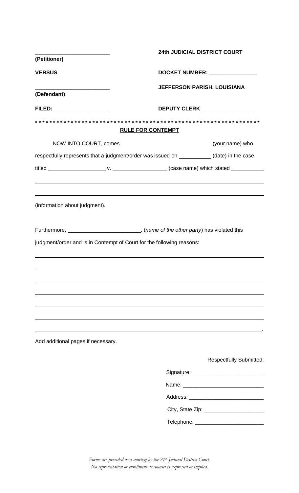|                                                                       | 24th JUDICIAL DISTRICT COURT                                                              |  |
|-----------------------------------------------------------------------|-------------------------------------------------------------------------------------------|--|
| (Petitioner)                                                          |                                                                                           |  |
| <b>VERSUS</b>                                                         | DOCKET NUMBER: ______________                                                             |  |
|                                                                       | JEFFERSON PARISH, LOUISIANA                                                               |  |
| (Defendant)                                                           |                                                                                           |  |
|                                                                       |                                                                                           |  |
|                                                                       | <b>RULE FOR CONTEMPT</b>                                                                  |  |
|                                                                       | NOW INTO COURT, comes ___________________________________(your name) who                  |  |
|                                                                       | respectfully represents that a judgment/order was issued on ___________(date) in the case |  |
|                                                                       |                                                                                           |  |
|                                                                       |                                                                                           |  |
| (information about judgment).                                         | ,我们也不会有什么。""我们的人,我们也不会有什么?""我们的人,我们也不会有什么?""我们的人,我们也不会有什么?""我们的人,我们也不会有什么?""我们的人          |  |
|                                                                       | Furthermore, _______________________________, (name of the other party) has violated this |  |
| judgment/order and is in Contempt of Court for the following reasons: |                                                                                           |  |
|                                                                       |                                                                                           |  |
|                                                                       |                                                                                           |  |
|                                                                       |                                                                                           |  |
|                                                                       |                                                                                           |  |
|                                                                       |                                                                                           |  |
|                                                                       |                                                                                           |  |
|                                                                       |                                                                                           |  |
| Add additional pages if necessary.                                    |                                                                                           |  |
|                                                                       | <b>Respectfully Submitted:</b>                                                            |  |
|                                                                       |                                                                                           |  |
|                                                                       |                                                                                           |  |
|                                                                       |                                                                                           |  |
|                                                                       | City, State Zip: _________________________                                                |  |
|                                                                       | Telephone: ____________________________                                                   |  |
|                                                                       |                                                                                           |  |

*Forms are provided as a courtesy by the 24th Judicial District Court. No representation or enrollment as counsel is expressed or implied.*